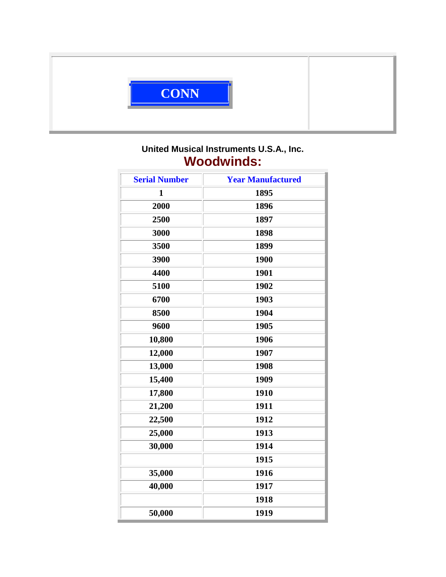

## **United Musical Instruments U.S.A., Inc. Woodwinds:**

| <b>Serial Number</b> | <b>Year Manufactured</b> |
|----------------------|--------------------------|
| $\mathbf{1}$         | 1895                     |
| 2000                 | 1896                     |
| 2500                 | 1897                     |
| 3000                 | 1898                     |
| 3500                 | 1899                     |
| 3900                 | 1900                     |
| 4400                 | 1901                     |
| 5100                 | 1902                     |
| 6700                 | 1903                     |
| 8500                 | 1904                     |
| 9600                 | 1905                     |
| 10,800               | 1906                     |
| 12,000               | 1907                     |
| 13,000               | 1908                     |
| 15,400               | 1909                     |
| 17,800               | 1910                     |
| 21,200               | 1911                     |
| 22,500               | 1912                     |
| 25,000               | 1913                     |
| 30,000               | 1914                     |
|                      | 1915                     |
| 35,000               | 1916                     |
| 40,000               | 1917                     |
|                      | 1918                     |
| 50,000               | 1919                     |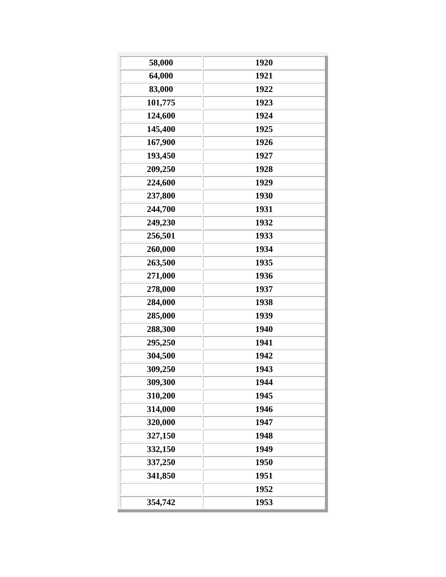| 58,000  | 1920 |
|---------|------|
| 64,000  | 1921 |
| 83,000  | 1922 |
| 101,775 | 1923 |
| 124,600 | 1924 |
| 145,400 | 1925 |
| 167,900 | 1926 |
| 193,450 | 1927 |
| 209,250 | 1928 |
| 224,600 | 1929 |
| 237,800 | 1930 |
| 244,700 | 1931 |
| 249,230 | 1932 |
| 256,501 | 1933 |
| 260,000 | 1934 |
| 263,500 | 1935 |
| 271,000 | 1936 |
| 278,000 | 1937 |
| 284,000 | 1938 |
| 285,000 | 1939 |
| 288,300 | 1940 |
| 295,250 | 1941 |
| 304,500 | 1942 |
| 309,250 | 1943 |
| 309,300 | 1944 |
| 310,200 | 1945 |
| 314,000 | 1946 |
| 320,000 | 1947 |
| 327,150 | 1948 |
| 332,150 | 1949 |
| 337,250 | 1950 |
|         |      |
| 341,850 | 1951 |
|         | 1952 |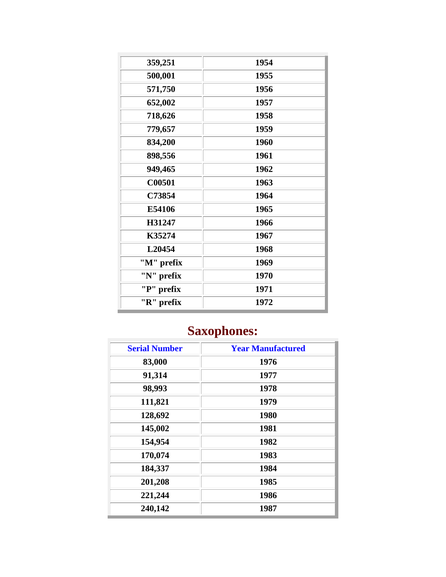| 1954 |
|------|
| 1955 |
| 1956 |
| 1957 |
| 1958 |
| 1959 |
| 1960 |
| 1961 |
| 1962 |
| 1963 |
| 1964 |
| 1965 |
| 1966 |
| 1967 |
| 1968 |
| 1969 |
| 1970 |
| 1971 |
| 1972 |
|      |

## **Saxophones:**

| <b>Serial Number</b> | <b>Year Manufactured</b> |
|----------------------|--------------------------|
| 83,000               | 1976                     |
| 91,314               | 1977                     |
| 98,993               | 1978                     |
| 111,821              | 1979                     |
| 128,692              | 1980                     |
| 145,002              | 1981                     |
| 154,954              | 1982                     |
| 170,074              | 1983                     |
| 184,337              | 1984                     |
| 201,208              | 1985                     |
| 221,244              | 1986                     |
| 240,142              | 1987                     |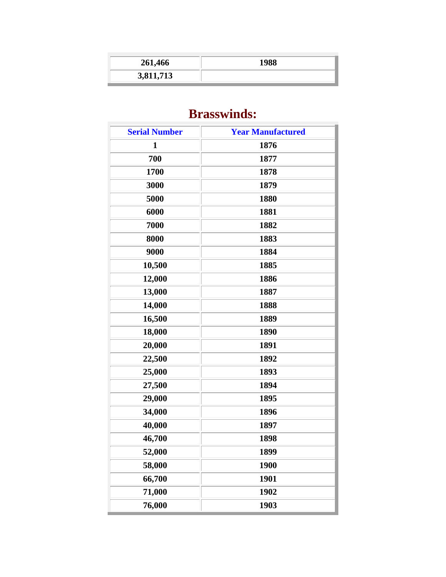| 261,466   | 1988 |
|-----------|------|
| 3,811,713 |      |

## **Brasswinds:**

| <b>Serial Number</b> | <b>Year Manufactured</b> |
|----------------------|--------------------------|
| 1                    | 1876                     |
| 700                  | 1877                     |
| 1700                 | 1878                     |
| 3000                 | 1879                     |
| 5000                 | 1880                     |
| 6000                 | 1881                     |
| 7000                 | 1882                     |
| 8000                 | 1883                     |
| 9000                 | 1884                     |
| 10,500               | 1885                     |
| 12,000               | 1886                     |
| 13,000               | 1887                     |
| 14,000               | 1888                     |
| 16,500               | 1889                     |
| 18,000               | 1890                     |
| 20,000               | 1891                     |
| 22,500               | 1892                     |
| 25,000               | 1893                     |
| 27,500               | 1894                     |
| 29,000               | 1895                     |
| 34,000               | 1896                     |
| 40,000               | 1897                     |
| 46,700               | 1898                     |
| 52,000               | 1899                     |
| 58,000               | 1900                     |
| 66,700               | 1901                     |
| 71,000               | 1902                     |
| 76,000               | 1903                     |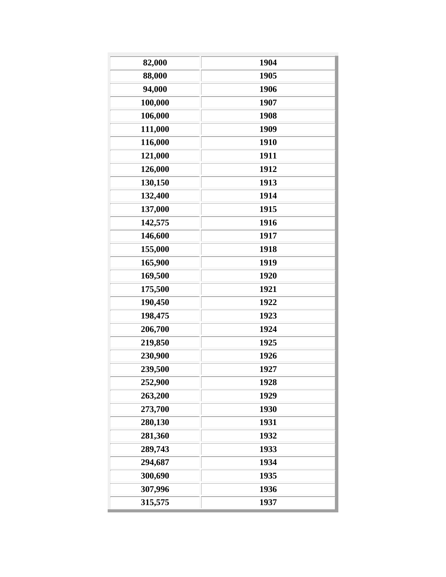| 82,000  | 1904 |
|---------|------|
| 88,000  | 1905 |
| 94,000  | 1906 |
| 100,000 | 1907 |
| 106,000 | 1908 |
| 111,000 | 1909 |
| 116,000 | 1910 |
| 121,000 | 1911 |
| 126,000 | 1912 |
| 130,150 | 1913 |
| 132,400 | 1914 |
| 137,000 | 1915 |
| 142,575 | 1916 |
| 146,600 | 1917 |
| 155,000 | 1918 |
| 165,900 | 1919 |
| 169,500 | 1920 |
| 175,500 | 1921 |
| 190,450 | 1922 |
| 198,475 | 1923 |
| 206,700 | 1924 |
| 219,850 | 1925 |
| 230,900 | 1926 |
| 239,500 | 1927 |
| 252,900 | 1928 |
| 263,200 | 1929 |
| 273,700 | 1930 |
| 280,130 | 1931 |
| 281,360 | 1932 |
| 289,743 | 1933 |
| 294,687 | 1934 |
| 300,690 | 1935 |
| 307,996 | 1936 |
| 315,575 | 1937 |
|         |      |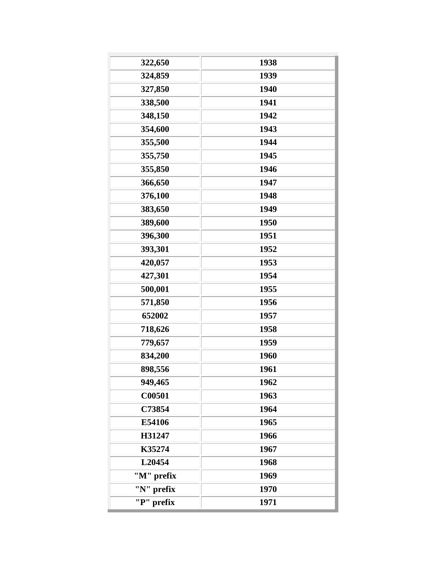| 322,650    | 1938 |
|------------|------|
| 324,859    | 1939 |
| 327,850    | 1940 |
| 338,500    | 1941 |
| 348,150    | 1942 |
| 354,600    | 1943 |
| 355,500    | 1944 |
| 355,750    | 1945 |
| 355,850    | 1946 |
| 366,650    | 1947 |
| 376,100    | 1948 |
| 383,650    | 1949 |
| 389,600    | 1950 |
| 396,300    | 1951 |
| 393,301    | 1952 |
| 420,057    | 1953 |
| 427,301    | 1954 |
| 500,001    | 1955 |
| 571,850    | 1956 |
| 652002     | 1957 |
| 718,626    | 1958 |
| 779,657    | 1959 |
| 834,200    | 1960 |
| 898,556    | 1961 |
| 949,465    | 1962 |
| C00501     | 1963 |
| C73854     | 1964 |
| E54106     | 1965 |
| H31247     | 1966 |
| K35274     | 1967 |
| L20454     | 1968 |
| "M" prefix | 1969 |
| "N" prefix | 1970 |
| "P" prefix | 1971 |